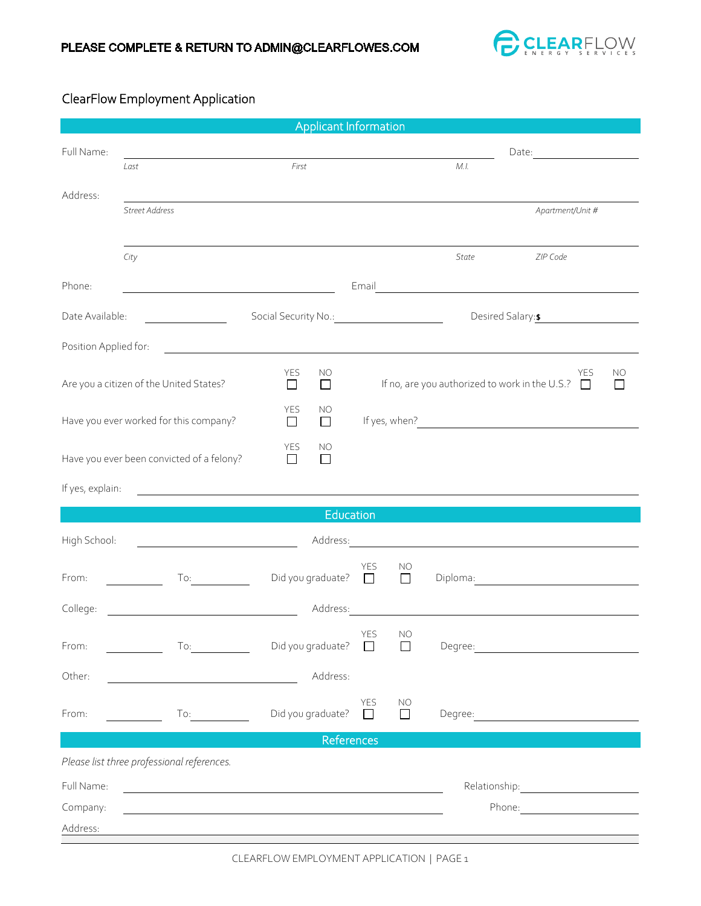

## ClearFlow Employment Application

| Applicant Information                     |                                                                                                                                                                                                                                |                                                                                                                      |                                                                     |                     |              |                                                                                                                         |  |  |
|-------------------------------------------|--------------------------------------------------------------------------------------------------------------------------------------------------------------------------------------------------------------------------------|----------------------------------------------------------------------------------------------------------------------|---------------------------------------------------------------------|---------------------|--------------|-------------------------------------------------------------------------------------------------------------------------|--|--|
| Full Name:                                |                                                                                                                                                                                                                                |                                                                                                                      |                                                                     |                     | Date: Date:  |                                                                                                                         |  |  |
|                                           | Last                                                                                                                                                                                                                           | First                                                                                                                |                                                                     |                     | M. I.        |                                                                                                                         |  |  |
| Address:                                  | Street Address                                                                                                                                                                                                                 |                                                                                                                      |                                                                     |                     |              | Apartment/Unit #                                                                                                        |  |  |
|                                           |                                                                                                                                                                                                                                |                                                                                                                      |                                                                     |                     |              |                                                                                                                         |  |  |
|                                           | City                                                                                                                                                                                                                           |                                                                                                                      |                                                                     |                     | <b>State</b> | ZIP Code                                                                                                                |  |  |
| Phone:                                    |                                                                                                                                                                                                                                |                                                                                                                      |                                                                     |                     |              |                                                                                                                         |  |  |
| Date Available:                           |                                                                                                                                                                                                                                | Social Security No.: 1997                                                                                            |                                                                     |                     |              | Desired Salary: \$                                                                                                      |  |  |
| Position Applied for:                     |                                                                                                                                                                                                                                | <u> 1989 - John Stein, markin film ar yn y brenin y brenin y brenin y brenin y brenin y brenin y brenin y brenin</u> |                                                                     |                     |              |                                                                                                                         |  |  |
| Are you a citizen of the United States?   |                                                                                                                                                                                                                                | <b>YES</b><br>NO<br>$\Box$<br>$\Box$                                                                                 | <b>YES</b><br>If no, are you authorized to work in the U.S.? $\Box$ |                     |              | NO<br>ГΙ                                                                                                                |  |  |
| Have you ever worked for this company?    |                                                                                                                                                                                                                                | <b>YES</b><br>NO<br>$\Box$<br>$\Box$                                                                                 |                                                                     |                     |              | If yes, when? <u>contained</u> a state of the state of the state of the state of the state of the state of the state of |  |  |
| Have you ever been convicted of a felony? |                                                                                                                                                                                                                                | YES<br>NO<br>$\Box$<br>П                                                                                             |                                                                     |                     |              |                                                                                                                         |  |  |
| If yes, explain:                          |                                                                                                                                                                                                                                |                                                                                                                      |                                                                     |                     |              |                                                                                                                         |  |  |
|                                           |                                                                                                                                                                                                                                |                                                                                                                      | Education                                                           |                     |              |                                                                                                                         |  |  |
| High School:                              | $\overline{\phantom{a}}$                                                                                                                                                                                                       | Address:                                                                                                             |                                                                     |                     |              | <u> 1989 - Johann Stein, mars and de Branch and de Branch and de Branch and de Branch and de Branch and de Branch</u>   |  |  |
| From:                                     | To:                                                                                                                                                                                                                            | Did you graduate? $\square$                                                                                          | <b>YES</b>                                                          | <b>NO</b><br>$\Box$ |              | Diploma: <u>_______________________</u>                                                                                 |  |  |
| College:                                  | <u> 1980 - Johann Barbara, martxa alemaniar a</u>                                                                                                                                                                              | Address:                                                                                                             |                                                                     |                     |              | <u> 1989 - Johann John Stein, fransk politik (</u>                                                                      |  |  |
| From:                                     | To: and the state of the state of the state of the state of the state of the state of the state of the state of the state of the state of the state of the state of the state of the state of the state of the state of the st | Did you graduate?                                                                                                    | YES<br>$\perp$                                                      | <b>NO</b><br>ΙI     |              |                                                                                                                         |  |  |
| Other:                                    | <u> 1989 - Johann Barbara, martin amerikan basar dan basa dan basar dalam basa dalam basa dalam basa dalam basa </u>                                                                                                           | Address:                                                                                                             |                                                                     |                     |              |                                                                                                                         |  |  |
| From:                                     | $\begin{array}{ccc}\n\text{To:} & \quad \text{---}\n\end{array}$                                                                                                                                                               | Did you graduate?                                                                                                    | YES<br>$\Box$                                                       | NO<br>П             |              |                                                                                                                         |  |  |
| References                                |                                                                                                                                                                                                                                |                                                                                                                      |                                                                     |                     |              |                                                                                                                         |  |  |
|                                           | Please list three professional references.                                                                                                                                                                                     |                                                                                                                      |                                                                     |                     |              |                                                                                                                         |  |  |
| Full Name:                                |                                                                                                                                                                                                                                |                                                                                                                      |                                                                     |                     |              |                                                                                                                         |  |  |
| Company:                                  |                                                                                                                                                                                                                                |                                                                                                                      |                                                                     |                     |              |                                                                                                                         |  |  |
| Address:                                  |                                                                                                                                                                                                                                |                                                                                                                      |                                                                     |                     |              |                                                                                                                         |  |  |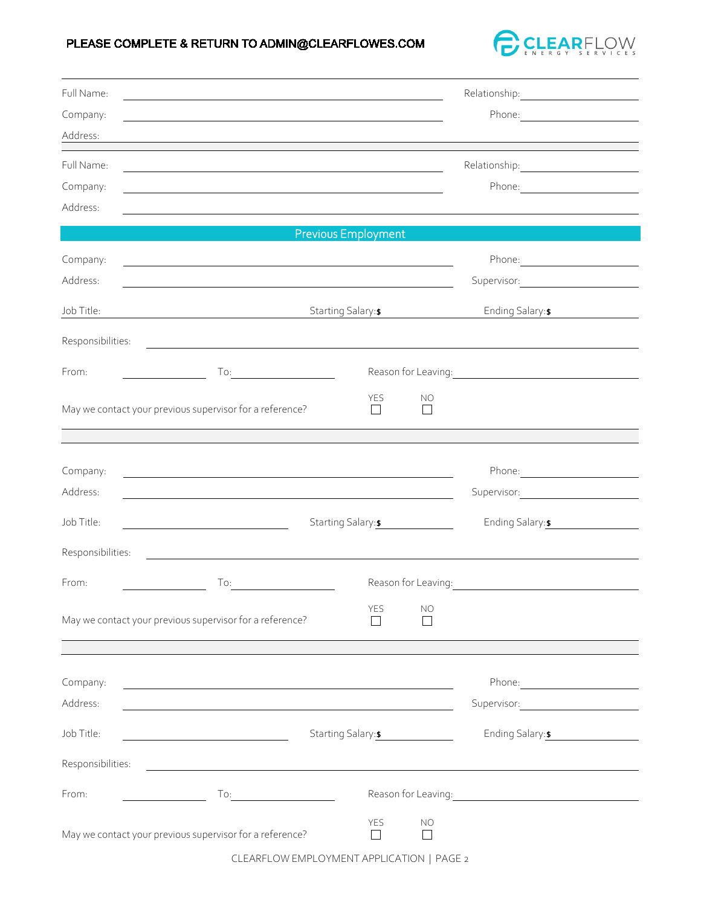## PLEASE COMPLETE & RETURN TO ADMIN@CLEARFLOWES.COM



| Full Name:           |                                                                                                                        |                          |                           |                                                                                                                                                                                                                                                           |
|----------------------|------------------------------------------------------------------------------------------------------------------------|--------------------------|---------------------------|-----------------------------------------------------------------------------------------------------------------------------------------------------------------------------------------------------------------------------------------------------------|
| Company:             |                                                                                                                        |                          |                           |                                                                                                                                                                                                                                                           |
| Address:             |                                                                                                                        |                          |                           |                                                                                                                                                                                                                                                           |
| Full Name:           |                                                                                                                        |                          |                           |                                                                                                                                                                                                                                                           |
| Company:             |                                                                                                                        |                          |                           |                                                                                                                                                                                                                                                           |
| Address:             |                                                                                                                        |                          |                           |                                                                                                                                                                                                                                                           |
|                      |                                                                                                                        | Previous Employment      |                           |                                                                                                                                                                                                                                                           |
| Company:             |                                                                                                                        |                          |                           |                                                                                                                                                                                                                                                           |
| Address:             |                                                                                                                        |                          |                           |                                                                                                                                                                                                                                                           |
| Job Title:           | <u> 1989 - Johann Stoff, deutscher Stoffen und der Stoffen und der Stoffen und der Stoffen und der Stoffen und der</u> | Starting Salary: \$      |                           | Ending Salary: \$<br><u>and the state of the state of the state of the state of the state of the state of the state of the state of the state of the state of the state of the state of the state of the state of the state of the state of the state</u> |
| Responsibilities:    | <u> 1989 - Johann Harry Harry Harry Harry Harry Harry Harry Harry Harry Harry Harry Harry Harry Harry Harry Harry</u>  |                          |                           |                                                                                                                                                                                                                                                           |
| From:                |                                                                                                                        | Reason for Leaving: 1999 |                           |                                                                                                                                                                                                                                                           |
|                      |                                                                                                                        | YES                      | <b>NO</b>                 |                                                                                                                                                                                                                                                           |
|                      | May we contact your previous supervisor for a reference?                                                               | $\Box$                   | П                         |                                                                                                                                                                                                                                                           |
|                      |                                                                                                                        |                          |                           |                                                                                                                                                                                                                                                           |
|                      |                                                                                                                        |                          |                           |                                                                                                                                                                                                                                                           |
| Company:<br>Address: | <u> 1989 - Johann Stein, fransk politik (f. 1989)</u>                                                                  |                          |                           |                                                                                                                                                                                                                                                           |
|                      |                                                                                                                        |                          |                           |                                                                                                                                                                                                                                                           |
| Job Title:           |                                                                                                                        | Starting Salary: \$      |                           | Ending Salary: \$                                                                                                                                                                                                                                         |
| Responsibilities:    |                                                                                                                        |                          |                           |                                                                                                                                                                                                                                                           |
| From:                | To:                                                                                                                    |                          |                           | Reason for Leaving: The Manuscript of the Manuscript of the Manuscript of the Manuscript of the Manuscript of                                                                                                                                             |
|                      | May we contact your previous supervisor for a reference?                                                               | <b>YES</b><br>l 1        | <b>NO</b><br>$\mathsf{I}$ |                                                                                                                                                                                                                                                           |
|                      |                                                                                                                        |                          |                           |                                                                                                                                                                                                                                                           |
|                      |                                                                                                                        |                          |                           |                                                                                                                                                                                                                                                           |
| Company:             | and the control of the control of the control of the control of the control of the control of the control of the       |                          |                           | Phone: 2008 2010 2010 2010 2010 2010 2021 2022 2023 2024 2022 2023 2024 2022 2023 2024 2025 2026 2027 2028 20                                                                                                                                             |
| Address:             |                                                                                                                        |                          |                           |                                                                                                                                                                                                                                                           |
| Job Title:           | Starting Salary: \$                                                                                                    |                          |                           | Ending Salary: \$                                                                                                                                                                                                                                         |
| Responsibilities:    |                                                                                                                        |                          |                           |                                                                                                                                                                                                                                                           |
| From:                | To: $\qquad \qquad \qquad$                                                                                             |                          |                           | Reason for Leaving: 2008                                                                                                                                                                                                                                  |
|                      | May we contact your previous supervisor for a reference?                                                               | YES<br>$\Box$            | NO                        |                                                                                                                                                                                                                                                           |

CLEARFLOW EMPLOYMENT APPLICATION | PAGE 2